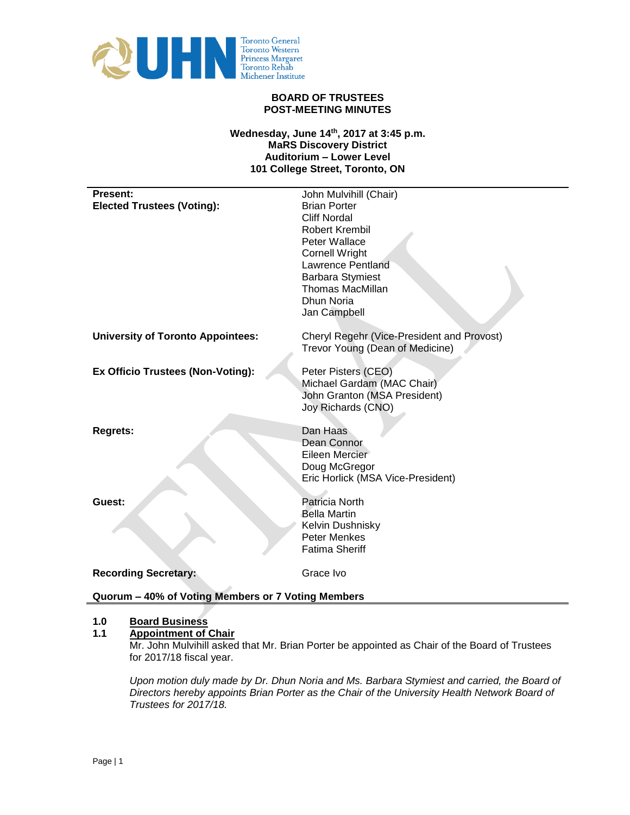

### **BOARD OF TRUSTEES POST-MEETING MINUTES**

## **Wednesday, June 14th, 2017 at 3:45 p.m. MaRS Discovery District Auditorium – Lower Level 101 College Street, Toronto, ON**

| Present:                                           | John Mulvihill (Chair)                     |
|----------------------------------------------------|--------------------------------------------|
| <b>Elected Trustees (Voting):</b>                  | <b>Brian Porter</b>                        |
|                                                    | <b>Cliff Nordal</b>                        |
|                                                    | <b>Robert Krembil</b>                      |
|                                                    | Peter Wallace                              |
|                                                    | <b>Cornell Wright</b>                      |
|                                                    | <b>Lawrence Pentland</b>                   |
|                                                    | <b>Barbara Stymiest</b>                    |
|                                                    | <b>Thomas MacMillan</b>                    |
|                                                    | <b>Dhun Noria</b>                          |
|                                                    | Jan Campbell                               |
| <b>University of Toronto Appointees:</b>           | Cheryl Regehr (Vice-President and Provost) |
|                                                    | Trevor Young (Dean of Medicine)            |
|                                                    |                                            |
| <b>Ex Officio Trustees (Non-Voting):</b>           | Peter Pisters (CEO)                        |
|                                                    | Michael Gardam (MAC Chair)                 |
|                                                    | John Granton (MSA President)               |
|                                                    | Joy Richards (CNO)                         |
|                                                    |                                            |
| <b>Regrets:</b>                                    | Dan Haas                                   |
|                                                    | Dean Connor                                |
|                                                    | Eileen Mercier                             |
|                                                    | Doug McGregor                              |
|                                                    | Eric Horlick (MSA Vice-President)          |
|                                                    |                                            |
| Guest:                                             | Patricia North                             |
|                                                    | <b>Bella Martin</b>                        |
|                                                    | Kelvin Dushnisky                           |
|                                                    | <b>Peter Menkes</b>                        |
|                                                    | <b>Fatima Sheriff</b>                      |
| <b>Recording Secretary:</b>                        | Grace Ivo                                  |
|                                                    |                                            |
| Quorum - 40% of Voting Members or 7 Voting Members |                                            |

### **1.0 Board Business**

### **1.1 Appointment of Chair**

Mr. John Mulvihill asked that Mr. Brian Porter be appointed as Chair of the Board of Trustees for 2017/18 fiscal year.

*Upon motion duly made by Dr. Dhun Noria and Ms. Barbara Stymiest and carried, the Board of Directors hereby appoints Brian Porter as the Chair of the University Health Network Board of Trustees for 2017/18.*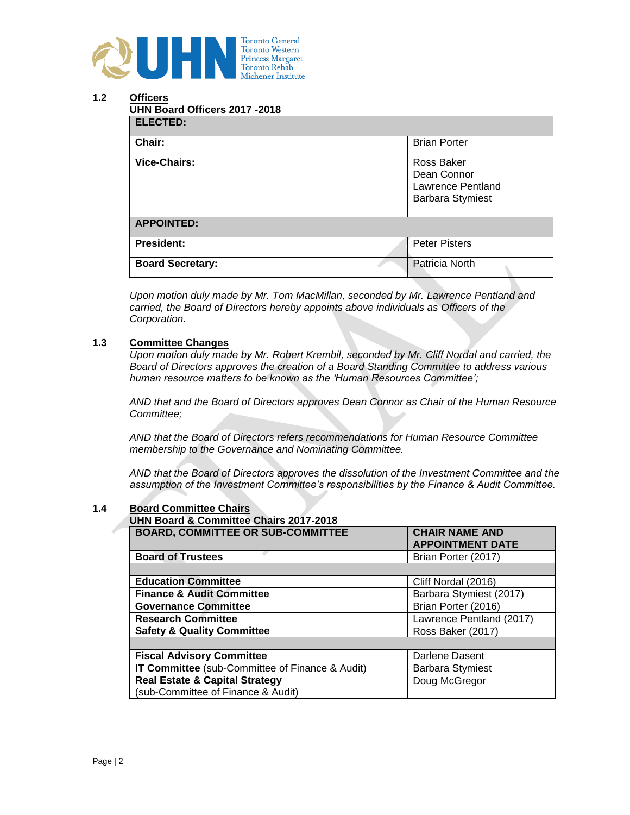

# **1.2 Officers**

| <b>ELECTED:</b>         |                                                                           |
|-------------------------|---------------------------------------------------------------------------|
| Chair:                  | <b>Brian Porter</b>                                                       |
| <b>Vice-Chairs:</b>     | Ross Baker<br>Dean Connor<br>Lawrence Pentland<br><b>Barbara Stymiest</b> |
| <b>APPOINTED:</b>       |                                                                           |
| <b>President:</b>       | <b>Peter Pisters</b>                                                      |
| <b>Board Secretary:</b> | Patricia North                                                            |

*Upon motion duly made by Mr. Tom MacMillan, seconded by Mr. Lawrence Pentland and carried, the Board of Directors hereby appoints above individuals as Officers of the Corporation.*

## **1.3 Committee Changes**

*Upon motion duly made by Mr. Robert Krembil, seconded by Mr. Cliff Nordal and carried, the Board of Directors approves the creation of a Board Standing Committee to address various human resource matters to be known as the 'Human Resources Committee';*

*AND that and the Board of Directors approves Dean Connor as Chair of the Human Resource Committee;*

*AND that the Board of Directors refers recommendations for Human Resource Committee membership to the Governance and Nominating Committee.*

*AND that the Board of Directors approves the dissolution of the Investment Committee and the assumption of the Investment Committee's responsibilities by the Finance & Audit Committee.*

### **1.4 Board Committee Chairs**

| <b>UHN Board &amp; Committee Chairs 2017-2018</b> |                                                  |
|---------------------------------------------------|--------------------------------------------------|
| <b>BOARD, COMMITTEE OR SUB-COMMITTEE</b>          | <b>CHAIR NAME AND</b><br><b>APPOINTMENT DATE</b> |
| <b>Board of Trustees</b>                          | Brian Porter (2017)                              |
|                                                   |                                                  |
| <b>Education Committee</b>                        | Cliff Nordal (2016)                              |
| <b>Finance &amp; Audit Committee</b>              | Barbara Stymiest (2017)                          |
| <b>Governance Committee</b>                       | Brian Porter (2016)                              |
| <b>Research Committee</b>                         | Lawrence Pentland (2017)                         |
| <b>Safety &amp; Quality Committee</b>             | Ross Baker (2017)                                |
|                                                   |                                                  |
| <b>Fiscal Advisory Committee</b>                  | Darlene Dasent                                   |
| IT Committee (sub-Committee of Finance & Audit)   | <b>Barbara Stymiest</b>                          |
| <b>Real Estate &amp; Capital Strategy</b>         | Doug McGregor                                    |
| (sub-Committee of Finance & Audit)                |                                                  |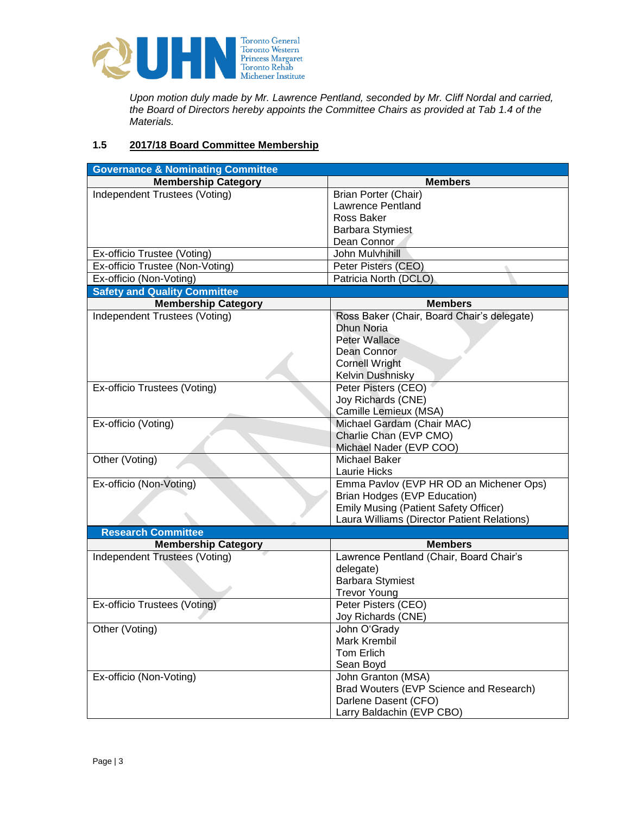

*Upon motion duly made by Mr. Lawrence Pentland, seconded by Mr. Cliff Nordal and carried, the Board of Directors hereby appoints the Committee Chairs as provided at Tab 1.4 of the Materials.*

# **1.5 2017/18 Board Committee Membership**

| <b>Governance &amp; Nominating Committee</b>                |                                              |
|-------------------------------------------------------------|----------------------------------------------|
| <b>Membership Category</b>                                  | <b>Members</b>                               |
| Independent Trustees (Voting)                               | <b>Brian Porter (Chair)</b>                  |
|                                                             | <b>Lawrence Pentland</b>                     |
|                                                             | Ross Baker                                   |
|                                                             | <b>Barbara Stymiest</b>                      |
|                                                             | Dean Connor                                  |
| Ex-officio Trustee (Voting)                                 | John Mulvhihill                              |
| Ex-officio Trustee (Non-Voting)                             | Peter Pisters (CEO)                          |
| Ex-officio (Non-Voting)                                     | Patricia North (DCLO)                        |
| <b>Safety and Quality Committee</b>                         |                                              |
| <b>Membership Category</b>                                  | <b>Members</b>                               |
| Independent Trustees (Voting)                               | Ross Baker (Chair, Board Chair's delegate)   |
|                                                             | <b>Dhun Noria</b>                            |
|                                                             | <b>Peter Wallace</b>                         |
|                                                             | Dean Connor                                  |
|                                                             | <b>Cornell Wright</b>                        |
|                                                             | Kelvin Dushnisky                             |
| Ex-officio Trustees (Voting)                                | Peter Pisters (CEO)                          |
|                                                             | Joy Richards (CNE)                           |
|                                                             | Camille Lemieux (MSA)                        |
| Ex-officio (Voting)                                         | Michael Gardam (Chair MAC)                   |
|                                                             | Charlie Chan (EVP CMO)                       |
|                                                             | Michael Nader (EVP COO)                      |
| Other (Voting)                                              | Michael Baker                                |
|                                                             | Laurie Hicks                                 |
| Ex-officio (Non-Voting)                                     | Emma Pavlov (EVP HR OD an Michener Ops)      |
|                                                             | <b>Brian Hodges (EVP Education)</b>          |
|                                                             | <b>Emily Musing (Patient Safety Officer)</b> |
|                                                             | Laura Williams (Director Patient Relations)  |
| <b>Research Committee</b>                                   |                                              |
|                                                             | <b>Members</b>                               |
| <b>Membership Category</b><br>Independent Trustees (Voting) | Lawrence Pentland (Chair, Board Chair's      |
|                                                             |                                              |
|                                                             | delegate)                                    |
|                                                             | <b>Barbara Stymiest</b>                      |
|                                                             | <b>Trevor Young</b>                          |
| Ex-officio Trustees (Voting)                                | Peter Pisters (CEO)                          |
|                                                             | Joy Richards (CNE)                           |
| Other (Voting)                                              | John O'Grady                                 |
|                                                             | Mark Krembil                                 |
|                                                             | <b>Tom Erlich</b>                            |
|                                                             | Sean Boyd                                    |
| Ex-officio (Non-Voting)                                     | John Granton (MSA)                           |
|                                                             | Brad Wouters (EVP Science and Research)      |
|                                                             | Darlene Dasent (CFO)                         |
|                                                             | Larry Baldachin (EVP CBO)                    |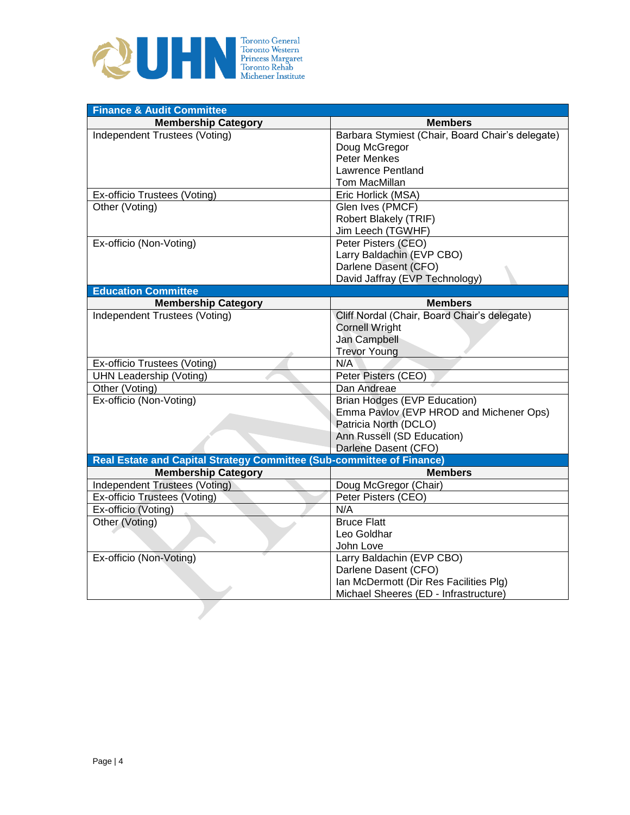

| <b>Finance &amp; Audit Committee</b>                                  |                                                  |
|-----------------------------------------------------------------------|--------------------------------------------------|
| <b>Membership Category</b>                                            | <b>Members</b>                                   |
| Independent Trustees (Voting)                                         | Barbara Stymiest (Chair, Board Chair's delegate) |
|                                                                       | Doug McGregor                                    |
|                                                                       | <b>Peter Menkes</b>                              |
|                                                                       | Lawrence Pentland                                |
|                                                                       | Tom MacMillan                                    |
| Ex-officio Trustees (Voting)                                          | Eric Horlick (MSA)                               |
| Other (Voting)                                                        | Glen Ives (PMCF)                                 |
|                                                                       | Robert Blakely (TRIF)                            |
|                                                                       | Jim Leech (TGWHF)                                |
| Ex-officio (Non-Voting)                                               | Peter Pisters (CEO)                              |
|                                                                       | Larry Baldachin (EVP CBO)                        |
|                                                                       | Darlene Dasent (CFO)                             |
|                                                                       | David Jaffray (EVP Technology)                   |
| <b>Education Committee</b>                                            |                                                  |
| <b>Membership Category</b>                                            | <b>Members</b>                                   |
| Independent Trustees (Voting)                                         | Cliff Nordal (Chair, Board Chair's delegate)     |
|                                                                       | <b>Cornell Wright</b>                            |
|                                                                       | Jan Campbell                                     |
|                                                                       | <b>Trevor Young</b>                              |
| Ex-officio Trustees (Voting)                                          | N/A                                              |
| <b>UHN Leadership (Voting)</b>                                        | Peter Pisters (CEO)                              |
| Other (Voting)                                                        | Dan Andreae                                      |
| Ex-officio (Non-Voting)                                               | <b>Brian Hodges (EVP Education)</b>              |
|                                                                       | Emma Pavlov (EVP HROD and Michener Ops)          |
|                                                                       | Patricia North (DCLO)                            |
|                                                                       | Ann Russell (SD Education)                       |
|                                                                       | Darlene Dasent (CFO)                             |
| Real Estate and Capital Strategy Committee (Sub-committee of Finance) |                                                  |
| <b>Membership Category</b>                                            | <b>Members</b>                                   |
| Independent Trustees (Voting)                                         | Doug McGregor (Chair)                            |
| Ex-officio Trustees (Voting)                                          | Peter Pisters (CEO)                              |
| Ex-officio (Voting)                                                   | N/A                                              |
| Other (Voting)                                                        | <b>Bruce Flatt</b>                               |
|                                                                       | Leo Goldhar                                      |
|                                                                       | John Love                                        |
| Ex-officio (Non-Voting)                                               | Larry Baldachin (EVP CBO)                        |
|                                                                       | Darlene Dasent (CFO)                             |
|                                                                       | Ian McDermott (Dir Res Facilities Plg)           |
|                                                                       | Michael Sheeres (ED - Infrastructure)            |
|                                                                       |                                                  |
|                                                                       |                                                  |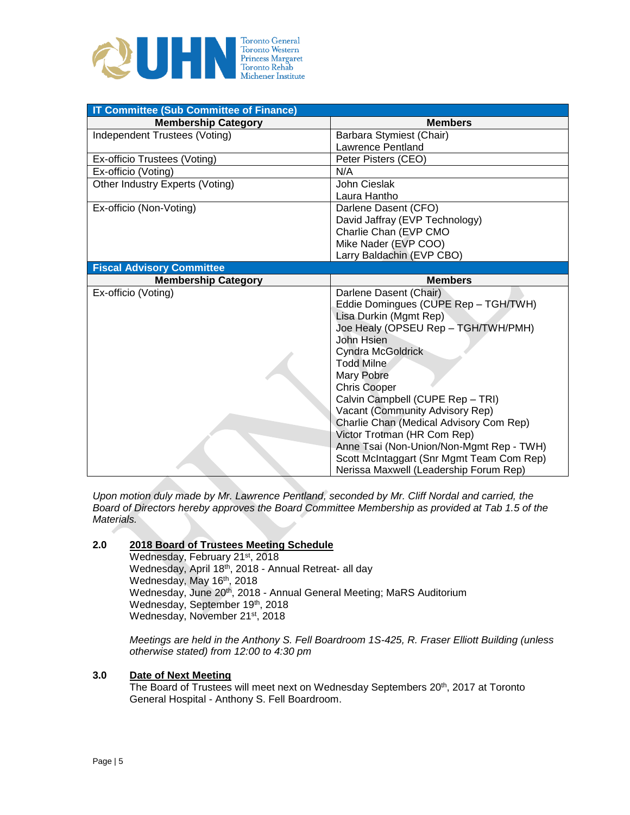

| <b>IT Committee (Sub Committee of Finance)</b> |                                                                                     |
|------------------------------------------------|-------------------------------------------------------------------------------------|
| <b>Membership Category</b>                     | <b>Members</b>                                                                      |
| Independent Trustees (Voting)                  | Barbara Stymiest (Chair)                                                            |
|                                                | <b>Lawrence Pentland</b>                                                            |
| Ex-officio Trustees (Voting)                   | Peter Pisters (CEO)                                                                 |
| Ex-officio (Voting)                            | N/A                                                                                 |
| Other Industry Experts (Voting)                | John Cieslak                                                                        |
|                                                | Laura Hantho                                                                        |
| Ex-officio (Non-Voting)                        | Darlene Dasent (CFO)                                                                |
|                                                | David Jaffray (EVP Technology)                                                      |
|                                                | Charlie Chan (EVP CMO                                                               |
|                                                | Mike Nader (EVP COO)                                                                |
|                                                | Larry Baldachin (EVP CBO)                                                           |
| <b>Fiscal Advisory Committee</b>               |                                                                                     |
| <b>Membership Category</b>                     | <b>Members</b>                                                                      |
| Ex-officio (Voting)                            | Darlene Dasent (Chair)                                                              |
|                                                | Eddie Domingues (CUPE Rep - TGH/TWH)                                                |
|                                                | Lisa Durkin (Mgmt Rep)                                                              |
|                                                | Joe Healy (OPSEU Rep - TGH/TWH/PMH)                                                 |
|                                                | John Hsien                                                                          |
|                                                | <b>Cyndra McGoldrick</b>                                                            |
|                                                | <b>Todd Milne</b>                                                                   |
|                                                | Mary Pobre                                                                          |
|                                                | <b>Chris Cooper</b>                                                                 |
|                                                | Calvin Campbell (CUPE Rep - TRI)                                                    |
|                                                | Vacant (Community Advisory Rep)                                                     |
|                                                | Charlie Chan (Medical Advisory Com Rep)                                             |
|                                                |                                                                                     |
|                                                | Victor Trotman (HR Com Rep)                                                         |
|                                                | Anne Tsai (Non-Union/Non-Mgmt Rep - TWH)                                            |
|                                                | Scott McIntaggart (Snr Mgmt Team Com Rep)<br>Nerissa Maxwell (Leadership Forum Rep) |

*Upon motion duly made by Mr. Lawrence Pentland, seconded by Mr. Cliff Nordal and carried, the Board of Directors hereby approves the Board Committee Membership as provided at Tab 1.5 of the Materials.*

### **2.0 2018 Board of Trustees Meeting Schedule**

Wednesday, February 21st, 2018 Wednesday, April 18th, 2018 - Annual Retreat- all day Wednesday, May 16<sup>th</sup>, 2018 Wednesday, June 20<sup>th</sup>, 2018 - Annual General Meeting; MaRS Auditorium Wednesday, September 19th, 2018 Wednesday, November 21st, 2018

*Meetings are held in the Anthony S. Fell Boardroom 1S-425, R. Fraser Elliott Building (unless otherwise stated) from 12:00 to 4:30 pm*

# **3.0 Date of Next Meeting**

The Board of Trustees will meet next on Wednesday Septembers 20th, 2017 at Toronto General Hospital - Anthony S. Fell Boardroom.